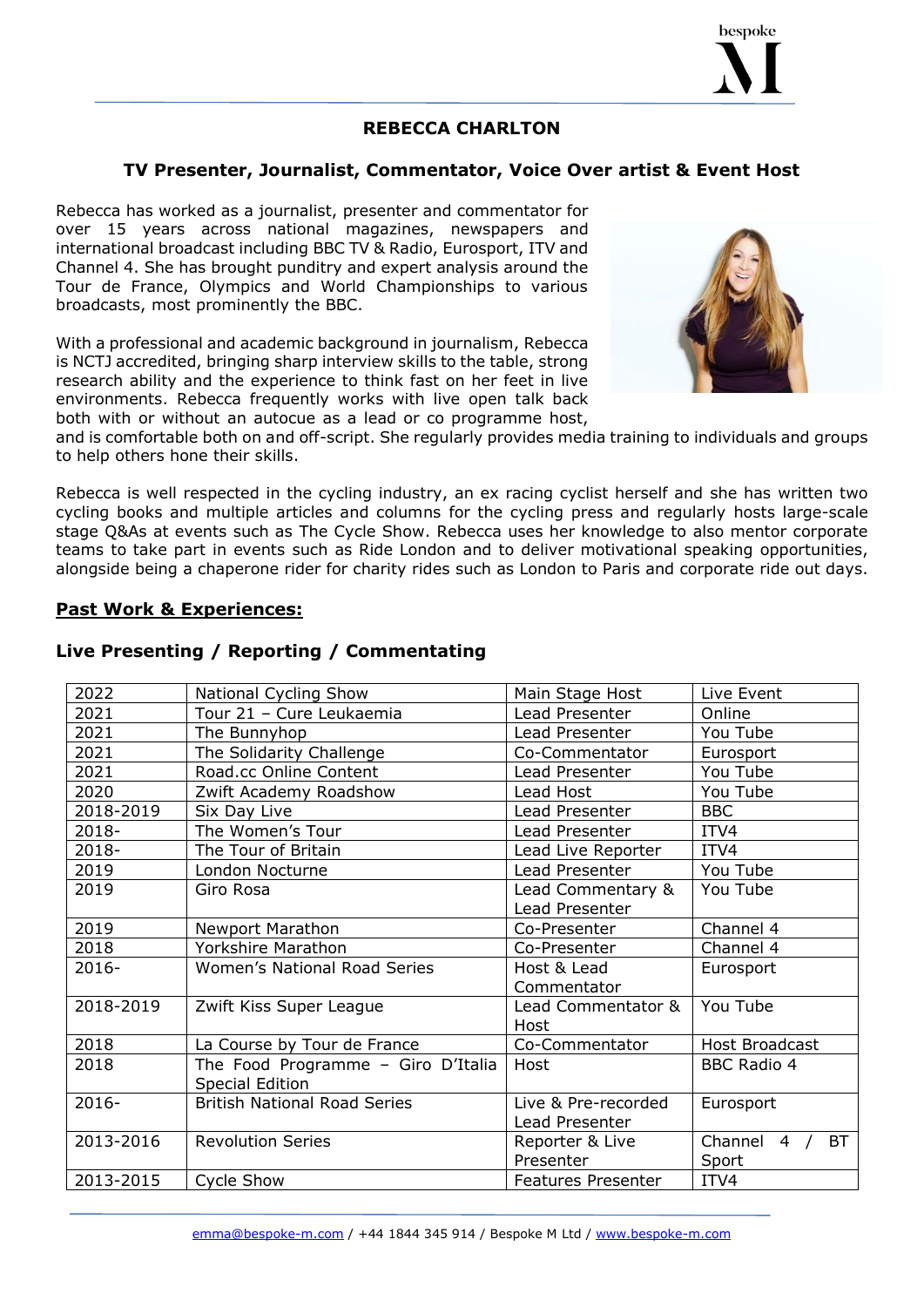

#### **REBECCA CHARLTON**

#### **TV Presenter, Journalist, Commentator, Voice Over artist & Event Host**

Rebecca has worked as a journalist, presenter and commentator for over 15 years across national magazines, newspapers and international broadcast including BBC TV & Radio, Eurosport, ITV and Channel 4. She has brought punditry and expert analysis around the Tour de France, Olympics and World Championships to various broadcasts, most prominently the BBC.

With a professional and academic background in journalism, Rebecca is NCTJ accredited, bringing sharp interview skills to the table, strong research ability and the experience to think fast on her feet in live environments. Rebecca frequently works with live open talk back both with or without an autocue as a lead or co programme host,



and is comfortable both on and off-script. She regularly provides media training to individuals and groups to help others hone their skills.

Rebecca is well respected in the cycling industry, an ex racing cyclist herself and she has written two cycling books and multiple articles and columns for the cycling press and regularly hosts large-scale stage Q&As at events such as The Cycle Show. Rebecca uses her knowledge to also mentor corporate teams to take part in events such as Ride London and to deliver motivational speaking opportunities, alongside being a chaperone rider for charity rides such as London to Paris and corporate ride out days.

#### **Past Work & Experiences:**

#### **Live Presenting / Reporting / Commentating**

| 2022      | National Cycling Show               | Main Stage Host           | Live Event                 |
|-----------|-------------------------------------|---------------------------|----------------------------|
| 2021      | Tour 21 - Cure Leukaemia            | Lead Presenter            | Online                     |
| 2021      | The Bunnyhop                        | Lead Presenter            | You Tube                   |
| 2021      | The Solidarity Challenge            | Co-Commentator            | Eurosport                  |
| 2021      | Road.cc Online Content              | Lead Presenter            | You Tube                   |
| 2020      | Zwift Academy Roadshow              | Lead Host                 | You Tube                   |
| 2018-2019 | Six Day Live                        | Lead Presenter            | <b>BBC</b>                 |
| 2018-     | The Women's Tour                    | Lead Presenter            | ITV4                       |
| 2018-     | The Tour of Britain                 | Lead Live Reporter        | ITV4                       |
| 2019      | London Nocturne                     | Lead Presenter            | You Tube                   |
| 2019      | Giro Rosa                           | Lead Commentary &         | You Tube                   |
|           |                                     | Lead Presenter            |                            |
| 2019      | Newport Marathon                    | Co-Presenter              | Channel 4                  |
| 2018      | Yorkshire Marathon                  | Co-Presenter              | Channel 4                  |
| 2016-     | <b>Women's National Road Series</b> | Host & Lead               | Eurosport                  |
|           |                                     | Commentator               |                            |
| 2018-2019 | Zwift Kiss Super League             | Lead Commentator &        | You Tube                   |
|           |                                     | Host                      |                            |
| 2018      | La Course by Tour de France         | Co-Commentator            | Host Broadcast             |
| 2018      | The Food Programme - Giro D'Italia  | Host                      | <b>BBC Radio 4</b>         |
|           | Special Edition                     |                           |                            |
| $2016 -$  | <b>British National Road Series</b> | Live & Pre-recorded       | Eurosport                  |
|           |                                     | Lead Presenter            |                            |
| 2013-2016 | <b>Revolution Series</b>            | Reporter & Live           | Channel $4 /$<br><b>BT</b> |
|           |                                     | Presenter                 | Sport                      |
| 2013-2015 | Cycle Show                          | <b>Features Presenter</b> | ITV4                       |